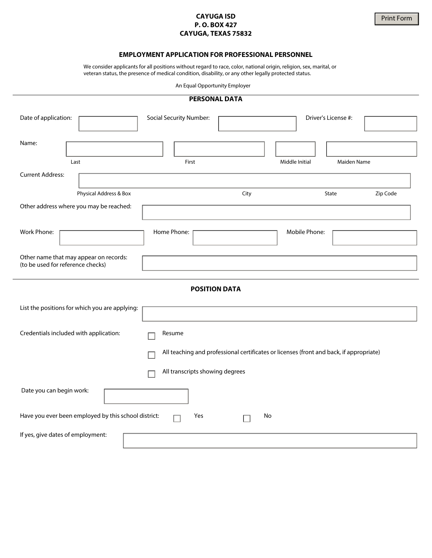#### **CAYUGA ISD P. O. BOX 427 CAYUGA, TEXAS 75832**

We consider applicants for all positions without regard to race, color, national origin, religion, sex, marital, or veteran status, the presence of medical condition, disability, or any other legally protected status.

An Equal Opportunity Employer

#### **PERSONAL DATA**

| Date of application:                                                                    | <b>Social Security Number:</b> | Driver's License #:           |  |  |  |
|-----------------------------------------------------------------------------------------|--------------------------------|-------------------------------|--|--|--|
| Name:                                                                                   |                                |                               |  |  |  |
| Last<br><b>Current Address:</b>                                                         | First                          | Middle Initial<br>Maiden Name |  |  |  |
| Physical Address & Box                                                                  | City                           | State<br>Zip Code             |  |  |  |
| Other address where you may be reached:                                                 |                                |                               |  |  |  |
| Work Phone:                                                                             | Home Phone:                    | Mobile Phone:                 |  |  |  |
| Other name that may appear on records:<br>(to be used for reference checks)             |                                |                               |  |  |  |
| <b>POSITION DATA</b>                                                                    |                                |                               |  |  |  |
| List the positions for which you are applying:                                          |                                |                               |  |  |  |
| Credentials included with application:                                                  | Resume                         |                               |  |  |  |
| All teaching and professional certificates or licenses (front and back, if appropriate) |                                |                               |  |  |  |
| All transcripts showing degrees                                                         |                                |                               |  |  |  |
| Date you can begin work:                                                                |                                |                               |  |  |  |
| Have you ever been employed by this school district:<br>Yes<br>No                       |                                |                               |  |  |  |
| If yes, give dates of employment:                                                       |                                |                               |  |  |  |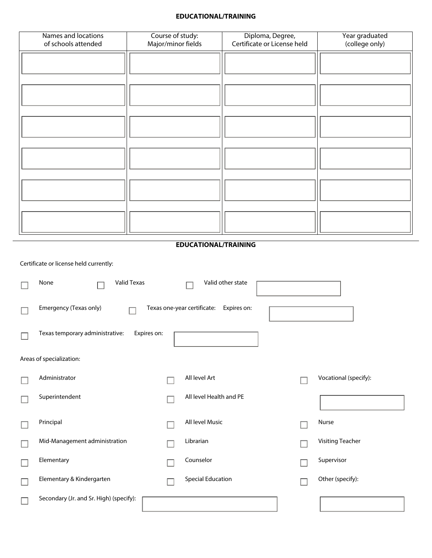# **EDUCATIONAL/TRAINING**

| Names and locations<br>of schools attended | Course of study:<br>Major/minor fields | Diploma, Degree,<br>Certificate or License held | Year graduated<br>(college only) |
|--------------------------------------------|----------------------------------------|-------------------------------------------------|----------------------------------|
|                                            |                                        |                                                 |                                  |
|                                            |                                        |                                                 |                                  |
|                                            |                                        |                                                 |                                  |
|                                            |                                        |                                                 |                                  |
|                                            |                                        |                                                 |                                  |
|                                            |                                        |                                                 |                                  |
|                                            |                                        |                                                 |                                  |
|                                            |                                        |                                                 |                                  |
|                                            |                                        |                                                 |                                  |

## **EDUCATIONAL/TRAINING**

Certificate or license held currently:

| <b>Valid Texas</b><br>None                     | Valid other state                          |                         |
|------------------------------------------------|--------------------------------------------|-------------------------|
| Emergency (Texas only)                         | Texas one-year certificate:<br>Expires on: |                         |
| Texas temporary administrative:<br>Expires on: |                                            |                         |
| Areas of specialization:                       |                                            |                         |
| Administrator                                  | All level Art                              | Vocational (specify):   |
| Superintendent                                 | All level Health and PE                    |                         |
| Principal                                      | All level Music                            | Nurse                   |
| Mid-Management administration                  | Librarian                                  | <b>Visiting Teacher</b> |
| Elementary                                     | Counselor                                  | Supervisor              |
| Elementary & Kindergarten                      | <b>Special Education</b>                   | Other (specify):        |
| Secondary (Jr. and Sr. High) (specify):        |                                            |                         |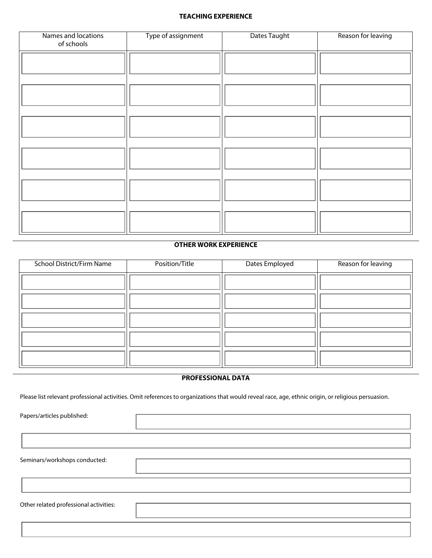# **TEACHING EXPERIENCE**

| Names and locations<br>of schools | Type of assignment | Dates Taught | Reason for leaving |
|-----------------------------------|--------------------|--------------|--------------------|
|                                   |                    |              |                    |
|                                   |                    |              |                    |
|                                   |                    |              |                    |
|                                   |                    |              |                    |
|                                   |                    |              |                    |
|                                   |                    |              |                    |
|                                   |                    |              |                    |
|                                   |                    |              |                    |
|                                   |                    |              |                    |
|                                   |                    |              |                    |
|                                   |                    |              |                    |
|                                   |                    |              |                    |
|                                   |                    |              |                    |

## **OTHER WORK EXPERIENCE**

| School District/Firm Name | Position/Title | Dates Employed | Reason for leaving |
|---------------------------|----------------|----------------|--------------------|
|                           |                |                |                    |
|                           |                |                |                    |
|                           |                |                |                    |
|                           |                |                |                    |
|                           |                |                |                    |
|                           |                |                |                    |
|                           |                |                |                    |
|                           |                |                |                    |
|                           |                |                |                    |

## **PROFESSIONAL DATA**

Please list relevant professional activities. Omit references to organizations that would reveal race, age, ethnic origin, or religious persuasion.

Papers/articles published:

Seminars/workshops conducted:

Other related professional activities: